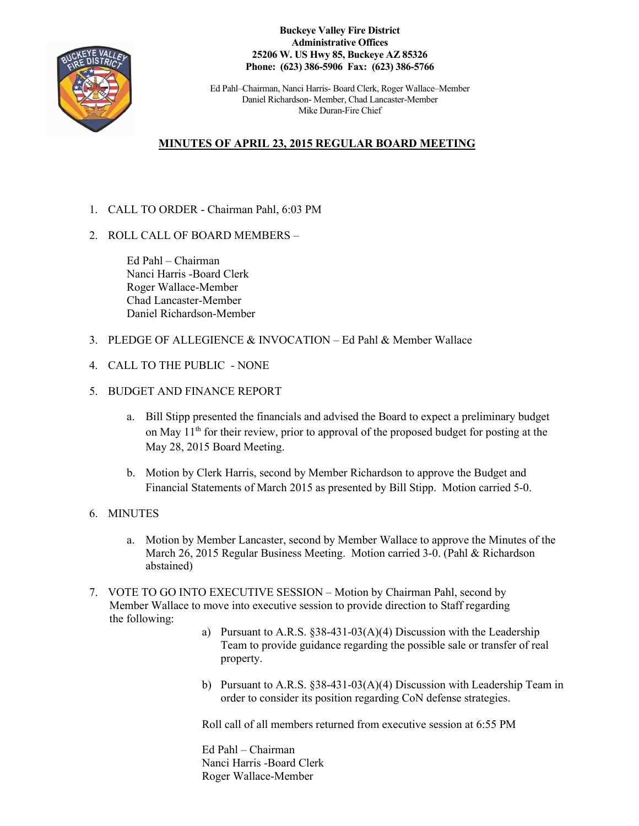

**Buckeye Valley Fire District Administrative Offices 25206 W. US Hwy 85, Buckeye AZ 85326 Phone: (623) 386-5906 Fax: (623) 386-5766**

Ed Pahl–Chairman, Nanci Harris- Board Clerk, Roger Wallace–Member Daniel Richardson- Member, Chad Lancaster-Member Mike Duran-Fire Chief

## **MINUTES OF APRIL 23, 2015 REGULAR BOARD MEETING**

- 1. CALL TO ORDER Chairman Pahl, 6:03 PM
- 2. ROLL CALL OF BOARD MEMBERS –

Ed Pahl – Chairman Nanci Harris -Board Clerk Roger Wallace-Member Chad Lancaster-Member Daniel Richardson-Member

- 3. PLEDGE OF ALLEGIENCE & INVOCATION Ed Pahl & Member Wallace
- 4. CALL TO THE PUBLIC NONE
- 5. BUDGET AND FINANCE REPORT
	- a. Bill Stipp presented the financials and advised the Board to expect a preliminary budget on May  $11<sup>th</sup>$  for their review, prior to approval of the proposed budget for posting at the May 28, 2015 Board Meeting.
	- b. Motion by Clerk Harris, second by Member Richardson to approve the Budget and Financial Statements of March 2015 as presented by Bill Stipp. Motion carried 5-0.
- 6. MINUTES
	- a. Motion by Member Lancaster, second by Member Wallace to approve the Minutes of the March 26, 2015 Regular Business Meeting. Motion carried 3-0. (Pahl & Richardson abstained)
- 7. VOTE TO GO INTO EXECUTIVE SESSION Motion by Chairman Pahl, second by Member Wallace to move into executive session to provide direction to Staff regarding the following:
	- a) Pursuant to A.R.S. §38-431-03(A)(4) Discussion with the Leadership Team to provide guidance regarding the possible sale or transfer of real property.
	- b) Pursuant to A.R.S. §38-431-03(A)(4) Discussion with Leadership Team in order to consider its position regarding CoN defense strategies.

Roll call of all members returned from executive session at 6:55 PM

Ed Pahl – Chairman Nanci Harris -Board Clerk Roger Wallace-Member